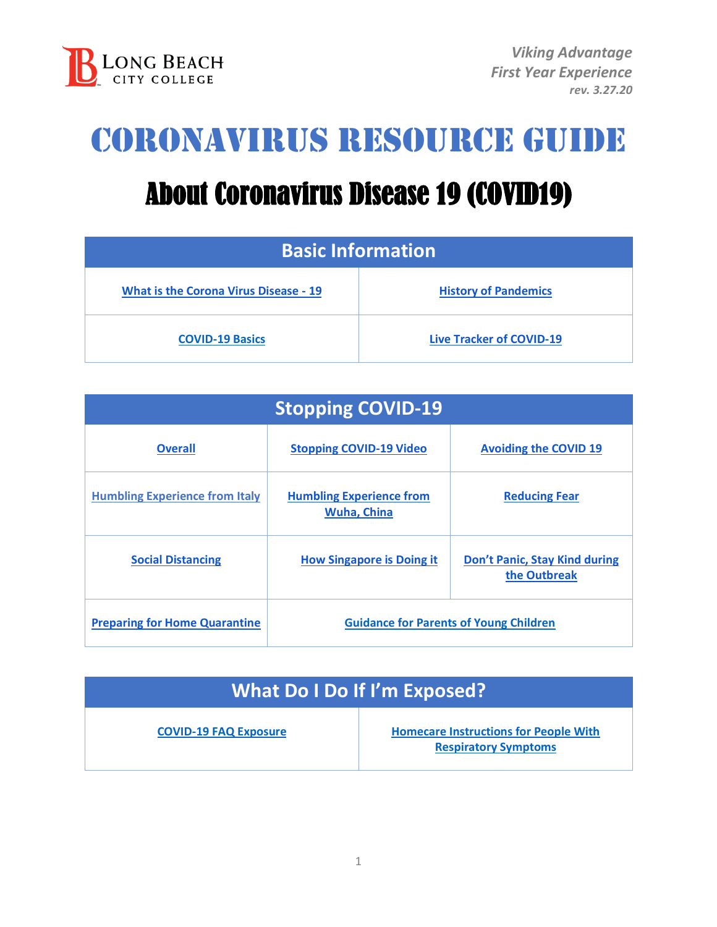

## Coronavirus Resource guide

# About Coronavirus Disease 19 (COVID19)

| <b>Basic Information</b>                     |                                 |  |
|----------------------------------------------|---------------------------------|--|
| <b>What is the Corona Virus Disease - 19</b> | <b>History of Pandemics</b>     |  |
| <b>COVID-19 Basics</b>                       | <b>Live Tracker of COVID-19</b> |  |

| <b>Stopping COVID-19</b>              |                                                       |                                                      |  |
|---------------------------------------|-------------------------------------------------------|------------------------------------------------------|--|
| <b>Overall</b>                        | <b>Stopping COVID-19 Video</b>                        | <b>Avoiding the COVID 19</b>                         |  |
| <b>Humbling Experience from Italy</b> | <b>Humbling Experience from</b><br><b>Wuha, China</b> | <b>Reducing Fear</b>                                 |  |
| <b>Social Distancing</b>              | <b>How Singapore is Doing it</b>                      | <b>Don't Panic, Stay Kind during</b><br>the Outbreak |  |
| <b>Preparing for Home Quarantine</b>  | <b>Guidance for Parents of Young Children</b>         |                                                      |  |

| What Do I Do If I'm Exposed? |                                              |
|------------------------------|----------------------------------------------|
| <b>COVID-19 FAQ Exposure</b> | <b>Homecare Instructions for People With</b> |

**[Respiratory Symptoms](http://publichealth.lacounty.gov/acd/docs/COVHomeCare.pdf)**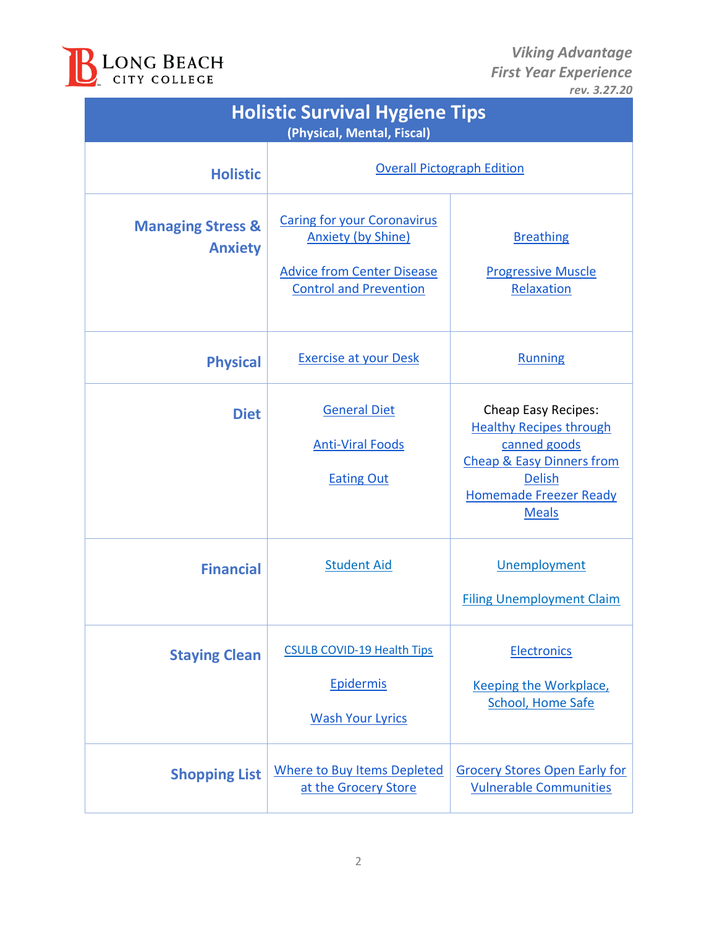

| <b>Holistic Survival Hygiene Tips</b><br>(Physical, Mental, Fiscal) |                                                                                                                                       |                                                                                                                                                                                 |  |
|---------------------------------------------------------------------|---------------------------------------------------------------------------------------------------------------------------------------|---------------------------------------------------------------------------------------------------------------------------------------------------------------------------------|--|
| <b>Holistic</b>                                                     | <b>Overall Pictograph Edition</b>                                                                                                     |                                                                                                                                                                                 |  |
| <b>Managing Stress &amp;</b><br><b>Anxiety</b>                      | <b>Caring for your Coronavirus</b><br><b>Anxiety (by Shine)</b><br><b>Advice from Center Disease</b><br><b>Control and Prevention</b> | <b>Breathing</b><br><b>Progressive Muscle</b><br>Relaxation                                                                                                                     |  |
| <b>Physical</b>                                                     | <b>Exercise at your Desk</b>                                                                                                          | <b>Running</b>                                                                                                                                                                  |  |
| <b>Diet</b>                                                         | <b>General Diet</b><br><b>Anti-Viral Foods</b><br><b>Eating Out</b>                                                                   | Cheap Easy Recipes:<br><b>Healthy Recipes through</b><br>canned goods<br><b>Cheap &amp; Easy Dinners from</b><br><b>Delish</b><br><b>Homemade Freezer Ready</b><br><b>Meals</b> |  |
| <b>Financial</b>                                                    | <b>Student Aid</b>                                                                                                                    | Unemployment<br><b>Filing Unemployment Claim</b>                                                                                                                                |  |
| <b>Staying Clean</b>                                                | <b>CSULB COVID-19 Health Tips</b><br>Epidermis<br><b>Wash Your Lyrics</b>                                                             | <b>Electronics</b><br>Keeping the Workplace,<br><b>School, Home Safe</b>                                                                                                        |  |
| <b>Shopping List</b>                                                | <b>Where to Buy Items Depleted</b><br>at the Grocery Store                                                                            | <b>Grocery Stores Open Early for</b><br><b>Vulnerable Communities</b>                                                                                                           |  |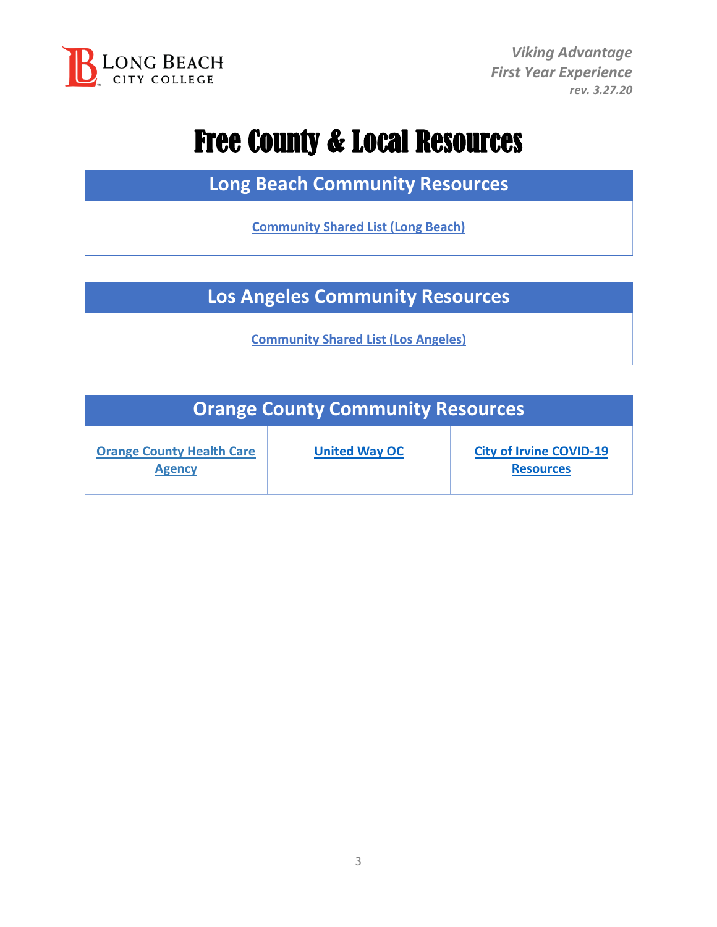

### Free County & Local Resources

**Long Beach Community Resources**

**[Community Shared List \(Long Beach\)](https://www.lbforward.org/covid19?fbclid=IwAR1XF2iGlG4xtGu2E1qzsyyF-N1QzRCaHPpIv4xzAKWj6a41IxRoWHT7Ufk)**

**Los Angeles Community Resources**

**[Community Shared List \(Los Angeles\)](https://docs.google.com/document/d/1S-WJaMa4q3yNrEBfSFKEdSQArcNc_MTI2LiUA63Ycyg/edit?fbclid=IwAR0-SiByt4cvGy4ewCRvy97B97XQ_ouICksz5bjFI_HH6YqMcC0DsQKnpvo)**

| <b>Orange County Community Resources</b>          |                      |                                                    |
|---------------------------------------------------|----------------------|----------------------------------------------------|
| <b>Orange County Health Care</b><br><b>Agency</b> | <b>United Way OC</b> | <b>City of Irvine COVID-19</b><br><b>Resources</b> |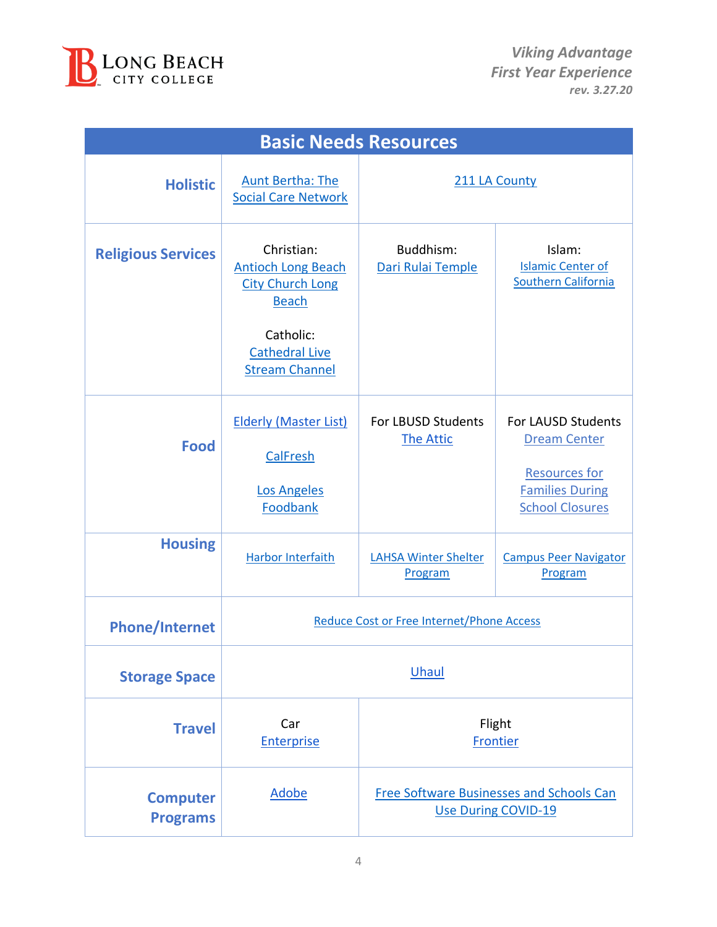

| <b>Basic Needs Resources</b>       |                                                                                                                                                   |                                        |                                                                                                                       |
|------------------------------------|---------------------------------------------------------------------------------------------------------------------------------------------------|----------------------------------------|-----------------------------------------------------------------------------------------------------------------------|
| <b>Holistic</b>                    | <b>Aunt Bertha: The</b><br><b>Social Care Network</b>                                                                                             |                                        | 211 LA County                                                                                                         |
| <b>Religious Services</b>          | Christian:<br><b>Antioch Long Beach</b><br><b>City Church Long</b><br><b>Beach</b><br>Catholic:<br><b>Cathedral Live</b><br><b>Stream Channel</b> | Buddhism:<br>Dari Rulai Temple         | Islam:<br><b>Islamic Center of</b><br><b>Southern California</b>                                                      |
| <b>Food</b>                        | <b>Elderly (Master List)</b><br><b>CalFresh</b><br><b>Los Angeles</b><br>Foodbank                                                                 | For LBUSD Students<br><b>The Attic</b> | For LAUSD Students<br><b>Dream Center</b><br><b>Resources for</b><br><b>Families During</b><br><b>School Closures</b> |
| <b>Housing</b>                     | <b>Harbor Interfaith</b>                                                                                                                          | <b>LAHSA Winter Shelter</b><br>Program | <b>Campus Peer Navigator</b><br>Program                                                                               |
| <b>Phone/Internet</b>              | Reduce Cost or Free Internet/Phone Access                                                                                                         |                                        |                                                                                                                       |
| <b>Storage Space</b>               | Uhaul                                                                                                                                             |                                        |                                                                                                                       |
| <b>Travel</b>                      | Car<br><b>Enterprise</b>                                                                                                                          | Flight<br>Frontier                     |                                                                                                                       |
| <b>Computer</b><br><b>Programs</b> | <b>Adobe</b>                                                                                                                                      |                                        | <b>Free Software Businesses and Schools Can</b><br><b>Use During COVID-19</b>                                         |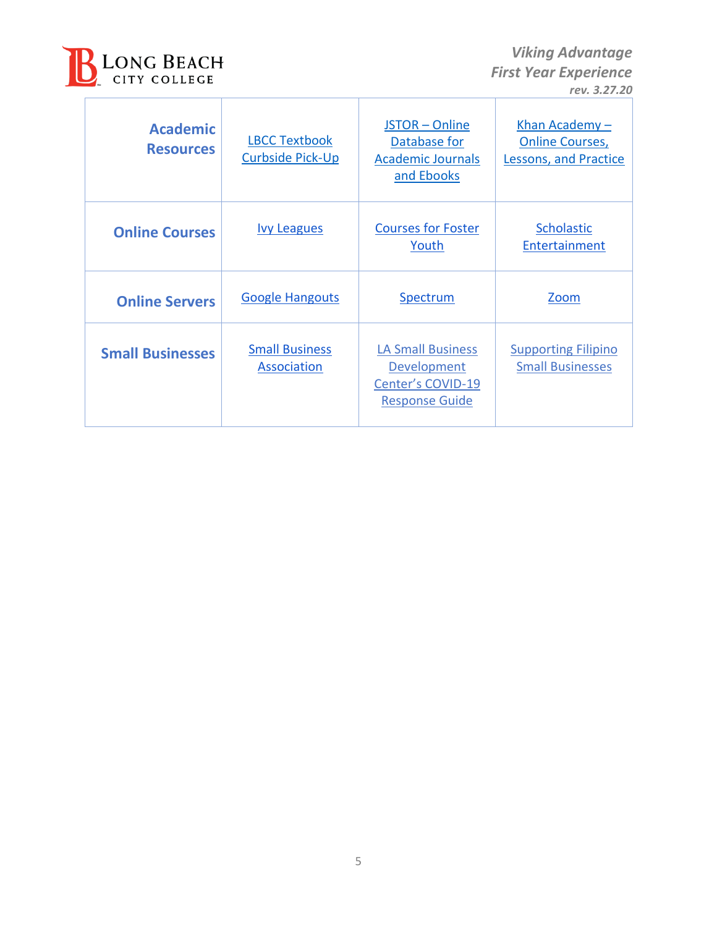

 $\Gamma$ 

 *Viking Advantage First Year Experience rev. 3.27.20*

| <b>Academic</b><br><b>Resources</b> | <b>LBCC Textbook</b><br><b>Curbside Pick-Up</b> | JSTOR - Online<br>Database for<br><b>Academic Journals</b><br>and Ebooks              | Khan Academy -<br><b>Online Courses,</b><br><b>Lessons, and Practice</b> |
|-------------------------------------|-------------------------------------------------|---------------------------------------------------------------------------------------|--------------------------------------------------------------------------|
| <b>Online Courses</b>               | <b>lvy Leagues</b>                              | <b>Courses for Foster</b><br>Youth                                                    | Scholastic<br>Entertainment                                              |
| <b>Online Servers</b>               | <b>Google Hangouts</b>                          | Spectrum                                                                              | <b>Zoom</b>                                                              |
| <b>Small Businesses</b>             | <b>Small Business</b><br><b>Association</b>     | <b>LA Small Business</b><br>Development<br>Center's COVID-19<br><b>Response Guide</b> | <b>Supporting Filipino</b><br><b>Small Businesses</b>                    |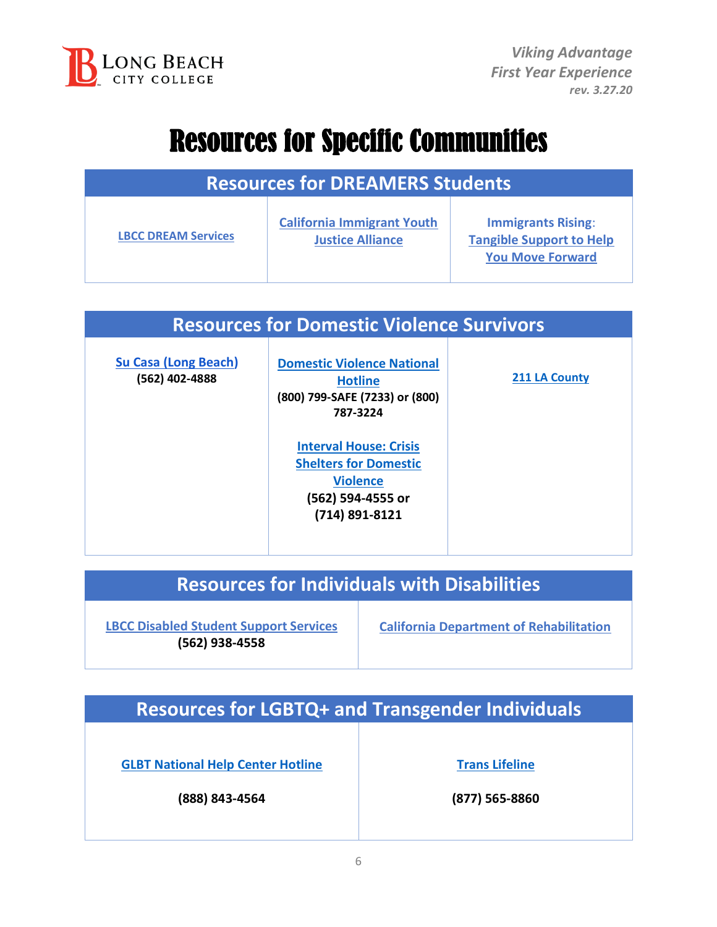

### Resources for Specific Communities

| <b>Resources for DREAMERS Students</b> |                                                              |                                                                                         |
|----------------------------------------|--------------------------------------------------------------|-----------------------------------------------------------------------------------------|
| <b>LBCC DREAM Services</b>             | <b>California Immigrant Youth</b><br><b>Justice Alliance</b> | <b>Immigrants Rising:</b><br><b>Tangible Support to Help</b><br><b>You Move Forward</b> |

#### **Resources for Domestic Violence Survivors**

**[Su Casa \(Long Beach\)](https://www.sucasadv.org/) (562) 402-4888**

**[Domestic Violence National](https://www.thehotline.org/)  [Hotline](https://www.thehotline.org/) (800) 799-SAFE (7233) or (800) 787-3224**

> **[Interval House: Crisis](http://www.intervalhouse.org/) [Shelters for Domestic](http://www.intervalhouse.org/) [Violence](http://www.intervalhouse.org/) (562) 594-4555 or (714) 891-8121**

**[211 LA County](https://www.211la.org/)**

### **Resources for Individuals with Disabilities**

**[LBCC Disabled Student Support Services](https://www.lbcc.edu/post/disabled-student-support-services-coronavirus) (562) 938-4558**

**[California Department of Rehabilitation](https://dor.ca.gov/)**

**Resources for LGBTQ+ and Transgender Individuals**

**[GLBT National Help Center Hotline](https://www.glbthotline.org/)**

**(888) 843-4564**

**Trans [Lifeline](https://www.translifeline.org/)**

**(877) 565-8860**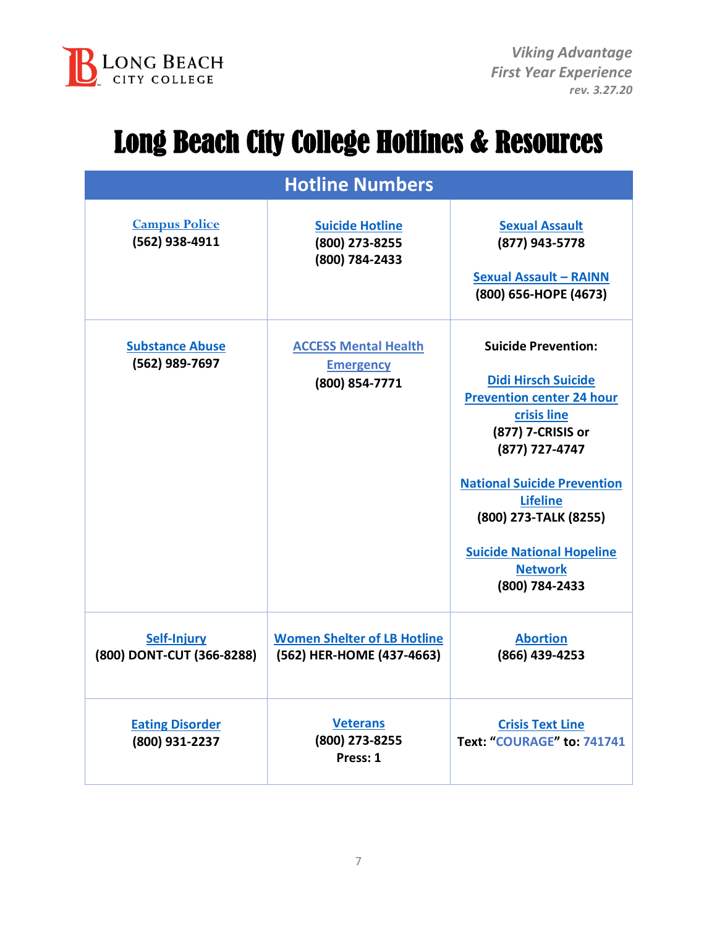

### Long Beach City College Hotlines & Resources

| <b>Hotline Numbers</b>                   |                                                                   |                                                                                                                                                                                                                                                                                                              |  |
|------------------------------------------|-------------------------------------------------------------------|--------------------------------------------------------------------------------------------------------------------------------------------------------------------------------------------------------------------------------------------------------------------------------------------------------------|--|
| <b>Campus Police</b><br>(562) 938-4911   | <b>Suicide Hotline</b><br>(800) 273-8255<br>(800) 784-2433        | <b>Sexual Assault</b><br>(877) 943-5778<br><b>Sexual Assault - RAINN</b><br>(800) 656-HOPE (4673)                                                                                                                                                                                                            |  |
| <b>Substance Abuse</b><br>(562) 989-7697 | <b>ACCESS Mental Health</b><br><b>Emergency</b><br>(800) 854-7771 | <b>Suicide Prevention:</b><br><b>Didi Hirsch Suicide</b><br><b>Prevention center 24 hour</b><br>crisis line<br>(877) 7-CRISIS or<br>(877) 727-4747<br><b>National Suicide Prevention</b><br><b>Lifeline</b><br>(800) 273-TALK (8255)<br><b>Suicide National Hopeline</b><br><b>Network</b><br>(800) 784-2433 |  |
| Self-Injury<br>(800) DONT-CUT (366-8288) | <b>Women Shelter of LB Hotline</b><br>(562) HER-HOME (437-4663)   | <b>Abortion</b><br>(866) 439-4253                                                                                                                                                                                                                                                                            |  |
| <b>Eating Disorder</b><br>(800) 931-2237 | <b>Veterans</b><br>(800) 273-8255<br>Press: 1                     | <b>Crisis Text Line</b><br>Text: "COURAGE" to: 741741                                                                                                                                                                                                                                                        |  |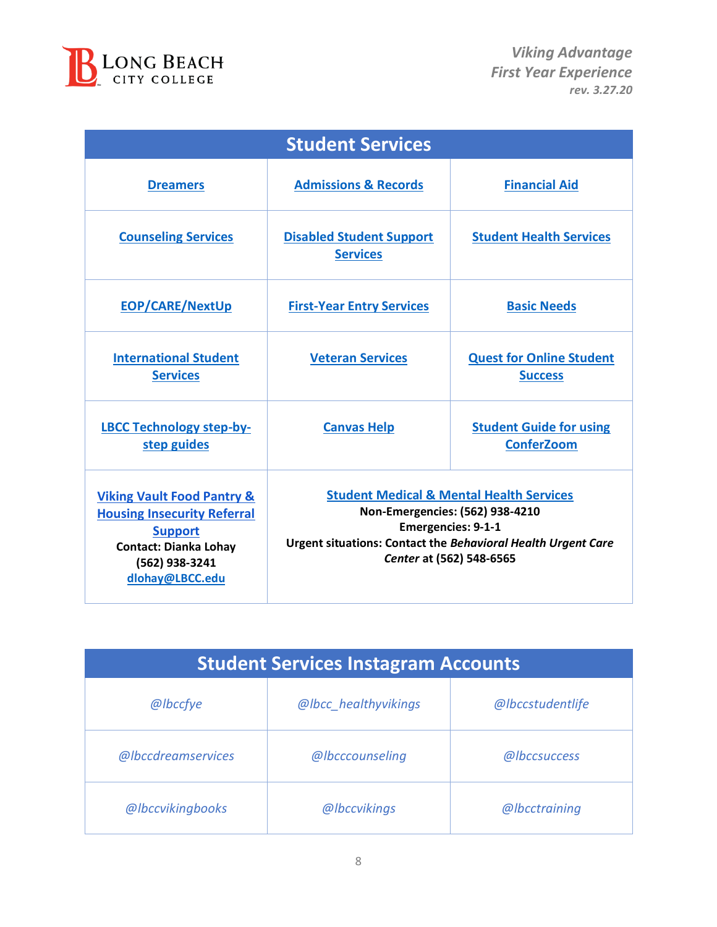

| <b>Student Services</b>                                                                                                                                            |                                                                                                                                                                                                                 |                                                     |  |
|--------------------------------------------------------------------------------------------------------------------------------------------------------------------|-----------------------------------------------------------------------------------------------------------------------------------------------------------------------------------------------------------------|-----------------------------------------------------|--|
| <b>Dreamers</b>                                                                                                                                                    | <b>Admissions &amp; Records</b>                                                                                                                                                                                 | <b>Financial Aid</b>                                |  |
| <b>Counseling Services</b>                                                                                                                                         | <b>Disabled Student Support</b><br><b>Services</b>                                                                                                                                                              | <b>Student Health Services</b>                      |  |
| <b>EOP/CARE/NextUp</b>                                                                                                                                             | <b>First-Year Entry Services</b>                                                                                                                                                                                | <b>Basic Needs</b>                                  |  |
| <b>International Student</b><br><b>Services</b>                                                                                                                    | <b>Veteran Services</b>                                                                                                                                                                                         | <b>Quest for Online Student</b><br><b>Success</b>   |  |
| <b>LBCC Technology step-by-</b><br>step guides                                                                                                                     | <b>Canvas Help</b>                                                                                                                                                                                              | <b>Student Guide for using</b><br><b>ConferZoom</b> |  |
| <b>Viking Vault Food Pantry &amp;</b><br><b>Housing Insecurity Referral</b><br><b>Support</b><br><b>Contact: Dianka Lohay</b><br>(562) 938-3241<br>dlohay@LBCC.edu | <b>Student Medical &amp; Mental Health Services</b><br>Non-Emergencies: (562) 938-4210<br><b>Emergencies: 9-1-1</b><br>Urgent situations: Contact the Behavioral Health Urgent Care<br>Center at (562) 548-6565 |                                                     |  |

| <b>Student Services Instagram Accounts</b> |                      |                  |
|--------------------------------------------|----------------------|------------------|
| @lbccfye                                   | @lbcc_healthyvikings | @lbccstudentlife |
| @lbccdreamservices                         | @lbcccounseling      | @lbccsuccess     |
| @lbccvikingbooks                           | @lbccvikings         | @lbcctraining    |